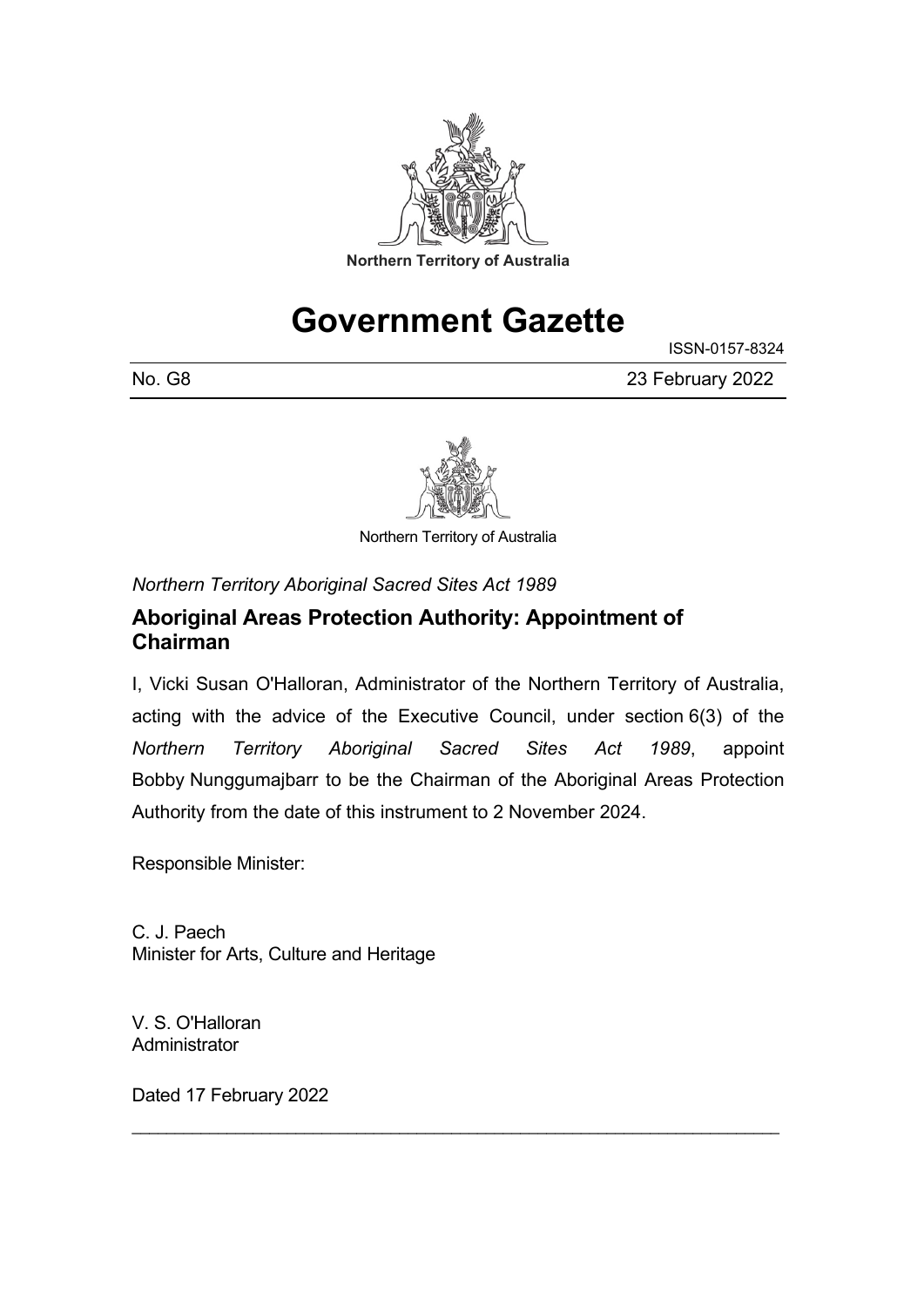

## **Government Gazette**

ISSN-0157-8324

No. G8 23 February 2022



Northern Territory of Australia

*Northern Territory Aboriginal Sacred Sites Act 1989*

## **Aboriginal Areas Protection Authority: Appointment of Chairman**

I, Vicki Susan O'Halloran, Administrator of the Northern Territory of Australia, acting with the advice of the Executive Council, under section 6(3) of the *Northern Territory Aboriginal Sacred Sites Act 1989*, appoint Bobby Nunggumajbarr to be the Chairman of the Aboriginal Areas Protection Authority from the date of this instrument to 2 November 2024.

\_\_\_\_\_\_\_\_\_\_\_\_\_\_\_\_\_\_\_\_\_\_\_\_\_\_\_\_\_\_\_\_\_\_\_\_\_\_\_\_\_\_\_\_\_\_\_\_\_\_\_\_\_\_\_\_\_\_\_\_\_\_\_\_\_\_\_\_\_\_\_\_\_\_\_

Responsible Minister:

C. J. Paech Minister for Arts, Culture and Heritage

V. S. O'Halloran **Administrator** 

Dated 17 February 2022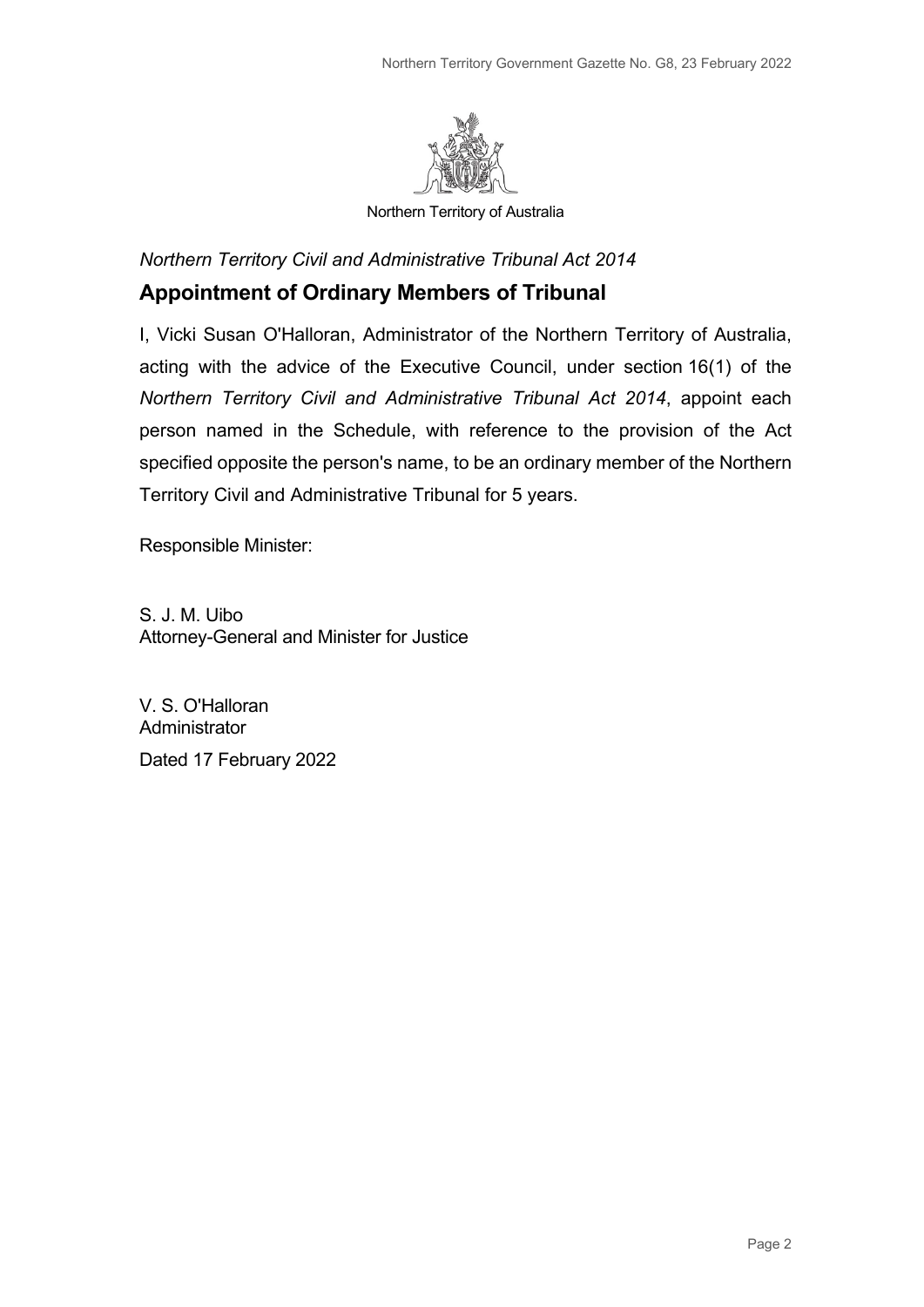

Northern Territory of Australia

*Northern Territory Civil and Administrative Tribunal Act 2014*

## **Appointment of Ordinary Members of Tribunal**

I, Vicki Susan O'Halloran, Administrator of the Northern Territory of Australia, acting with the advice of the Executive Council, under section 16(1) of the *Northern Territory Civil and Administrative Tribunal Act 2014*, appoint each person named in the Schedule, with reference to the provision of the Act specified opposite the person's name, to be an ordinary member of the Northern Territory Civil and Administrative Tribunal for 5 years.

Responsible Minister:

S. J. M. Uibo Attorney-General and Minister for Justice

V. S. O'Halloran **Administrator** Dated 17 February 2022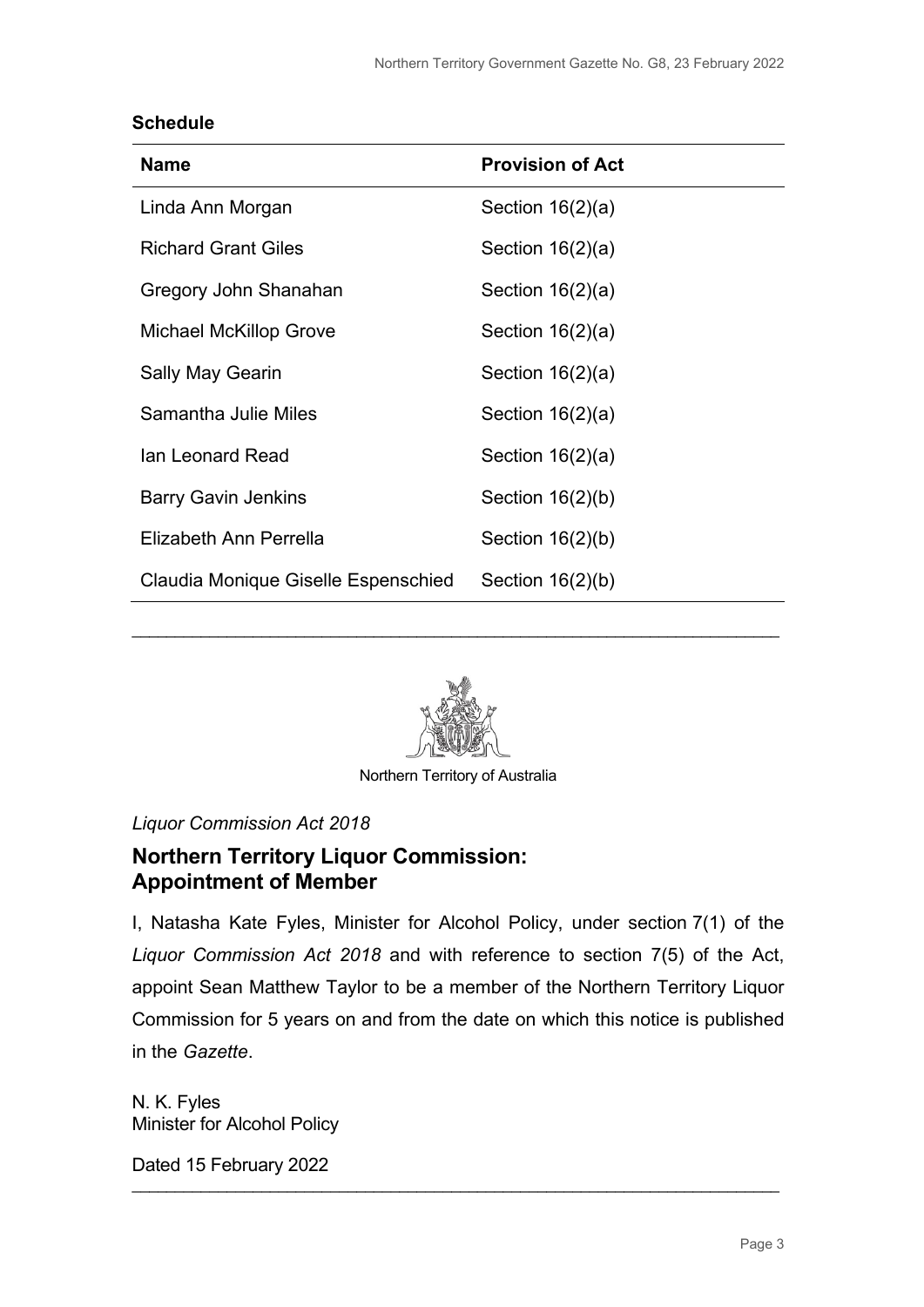#### **Schedule**

| <b>Name</b>                         | <b>Provision of Act</b> |
|-------------------------------------|-------------------------|
| Linda Ann Morgan                    | Section $16(2)(a)$      |
| <b>Richard Grant Giles</b>          | Section $16(2)(a)$      |
| Gregory John Shanahan               | Section $16(2)(a)$      |
| <b>Michael McKillop Grove</b>       | Section $16(2)(a)$      |
| <b>Sally May Gearin</b>             | Section $16(2)(a)$      |
| Samantha Julie Miles                | Section $16(2)(a)$      |
| Ian Leonard Read                    | Section $16(2)(a)$      |
| <b>Barry Gavin Jenkins</b>          | Section $16(2)(b)$      |
| Elizabeth Ann Perrella              | Section $16(2)(b)$      |
| Claudia Monique Giselle Espenschied | Section $16(2)(b)$      |



\_\_\_\_\_\_\_\_\_\_\_\_\_\_\_\_\_\_\_\_\_\_\_\_\_\_\_\_\_\_\_\_\_\_\_\_\_\_\_\_\_\_\_\_\_\_\_\_\_\_\_\_\_\_\_\_\_\_\_\_\_\_\_\_\_\_\_\_\_\_\_\_\_\_\_

Northern Territory of Australia

*Liquor Commission Act 2018*

## **Northern Territory Liquor Commission: Appointment of Member**

I, Natasha Kate Fyles, Minister for Alcohol Policy, under section 7(1) of the *Liquor Commission Act 2018* and with reference to section 7(5) of the Act, appoint Sean Matthew Taylor to be a member of the Northern Territory Liquor Commission for 5 years on and from the date on which this notice is published in the *Gazette*.

\_\_\_\_\_\_\_\_\_\_\_\_\_\_\_\_\_\_\_\_\_\_\_\_\_\_\_\_\_\_\_\_\_\_\_\_\_\_\_\_\_\_\_\_\_\_\_\_\_\_\_\_\_\_\_\_\_\_\_\_\_\_\_\_\_\_\_\_\_\_\_\_\_\_\_

N. K. Fyles Minister for Alcohol Policy

Dated 15 February 2022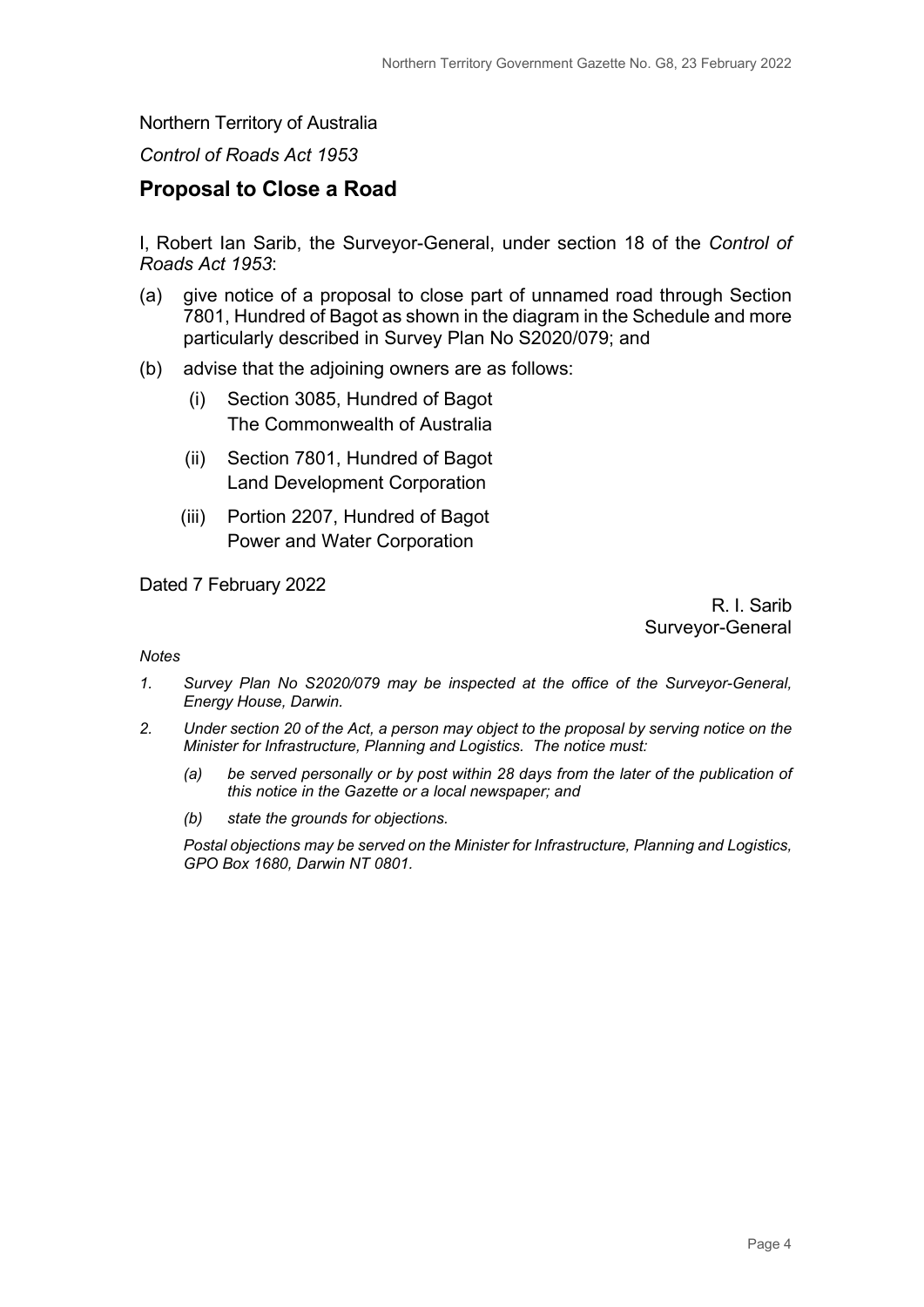#### Northern Territory of Australia

#### *Control of Roads Act 1953*

#### **Proposal to Close a Road**

I, Robert Ian Sarib, the Surveyor-General, under section 18 of the *Control of Roads Act 1953*:

- (a) give notice of a proposal to close part of unnamed road through Section 7801, Hundred of Bagot as shown in the diagram in the Schedule and more particularly described in Survey Plan No S2020/079; and
- (b) advise that the adjoining owners are as follows:
	- (i) Section 3085, Hundred of Bagot The Commonwealth of Australia
	- (ii) Section 7801, Hundred of Bagot Land Development Corporation
	- (iii) Portion 2207, Hundred of Bagot Power and Water Corporation

Dated 7 February 2022

R. I. Sarib Surveyor-General

#### *Notes*

- *1. Survey Plan No S2020/079 may be inspected at the office of the Surveyor-General, Energy House, Darwin.*
- *2. Under section 20 of the Act, a person may object to the proposal by serving notice on the Minister for Infrastructure, Planning and Logistics. The notice must:*
	- *(a) be served personally or by post within 28 days from the later of the publication of this notice in the Gazette or a local newspaper; and*
	- *(b) state the grounds for objections.*

*Postal objections may be served on the Minister for Infrastructure, Planning and Logistics, GPO Box 1680, Darwin NT 0801.*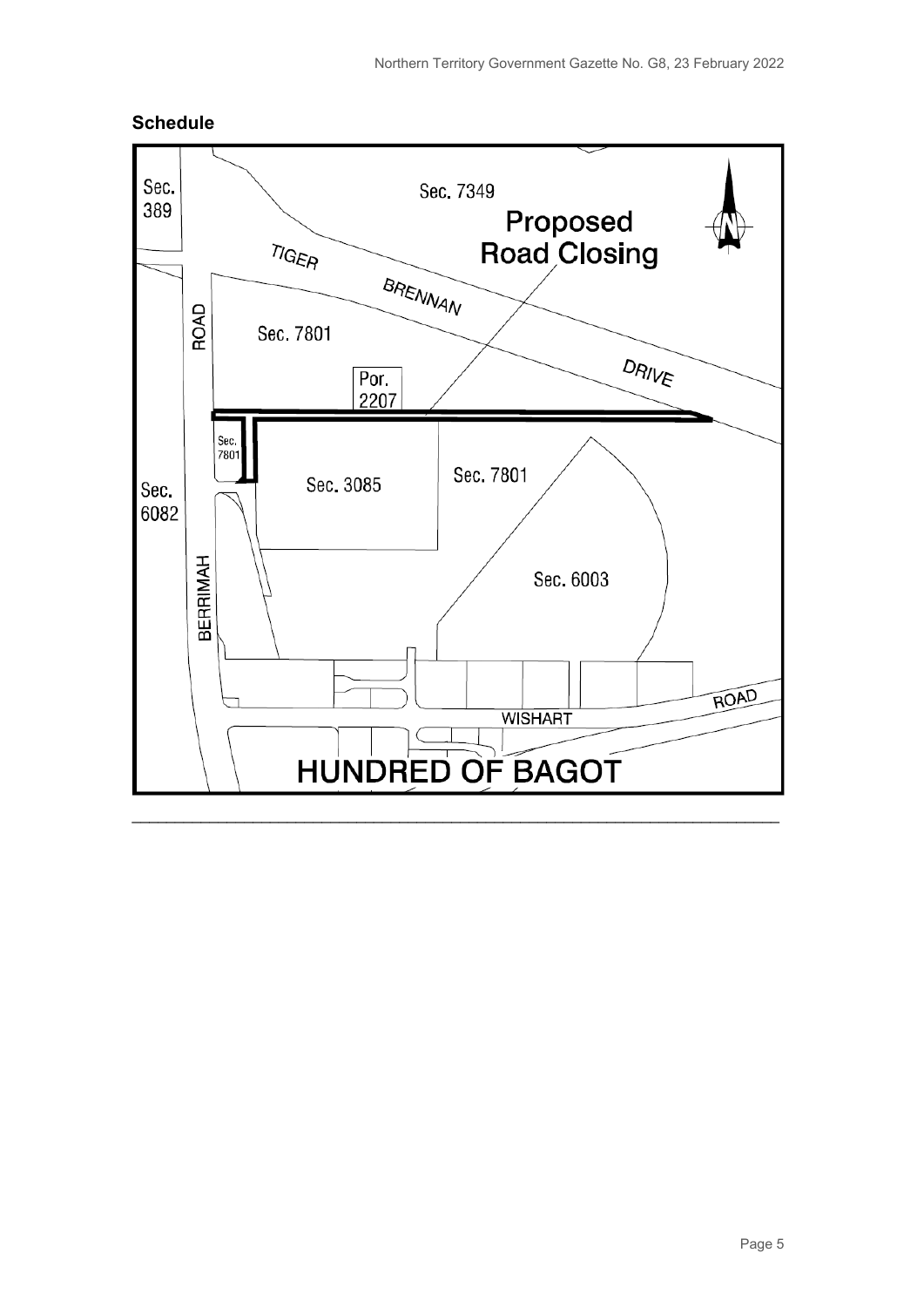

#### **Schedule**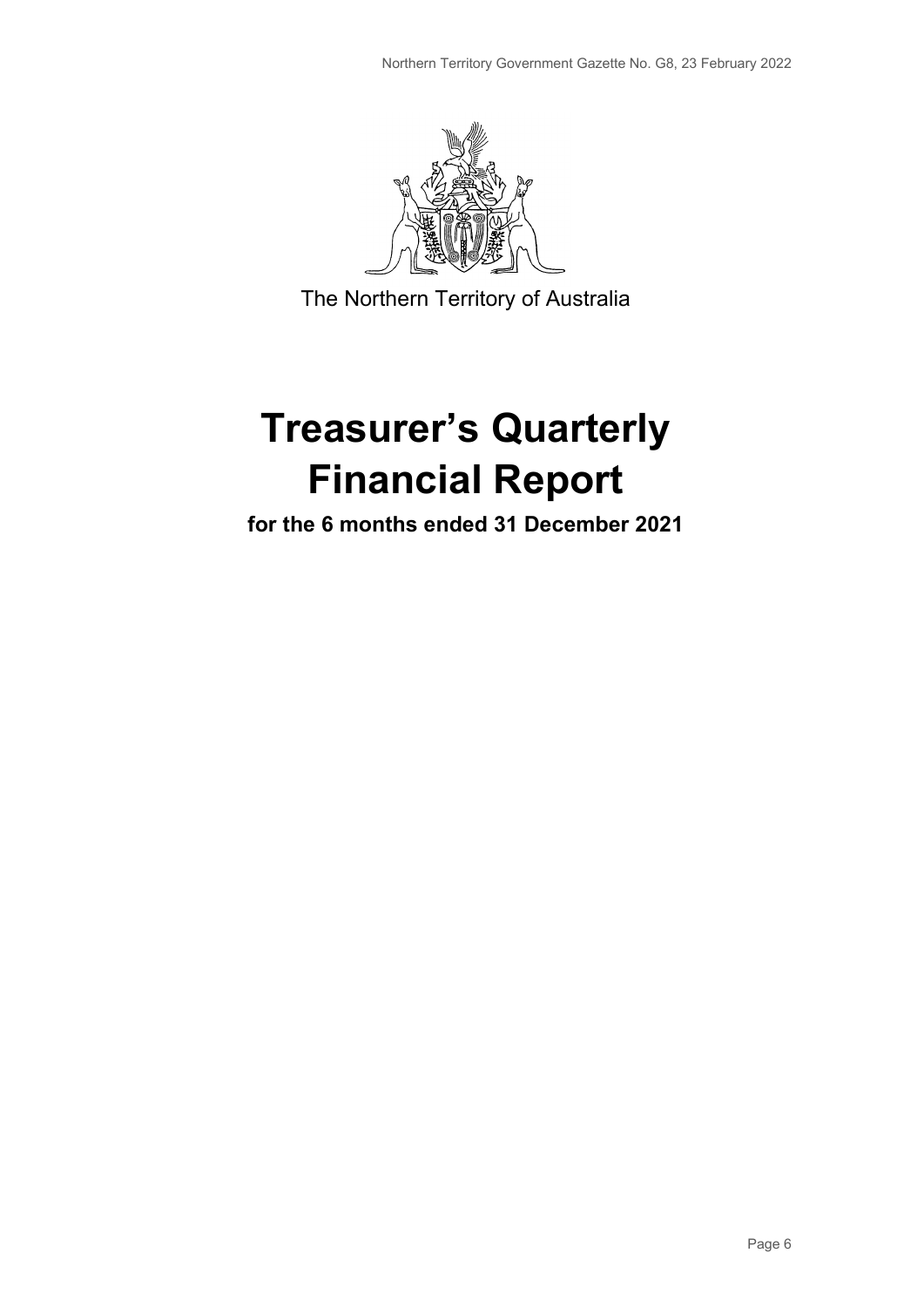

The Northern Territory of Australia

# **Treasurer's Quarterly Financial Report**

**for the 6 months ended 31 December 2021**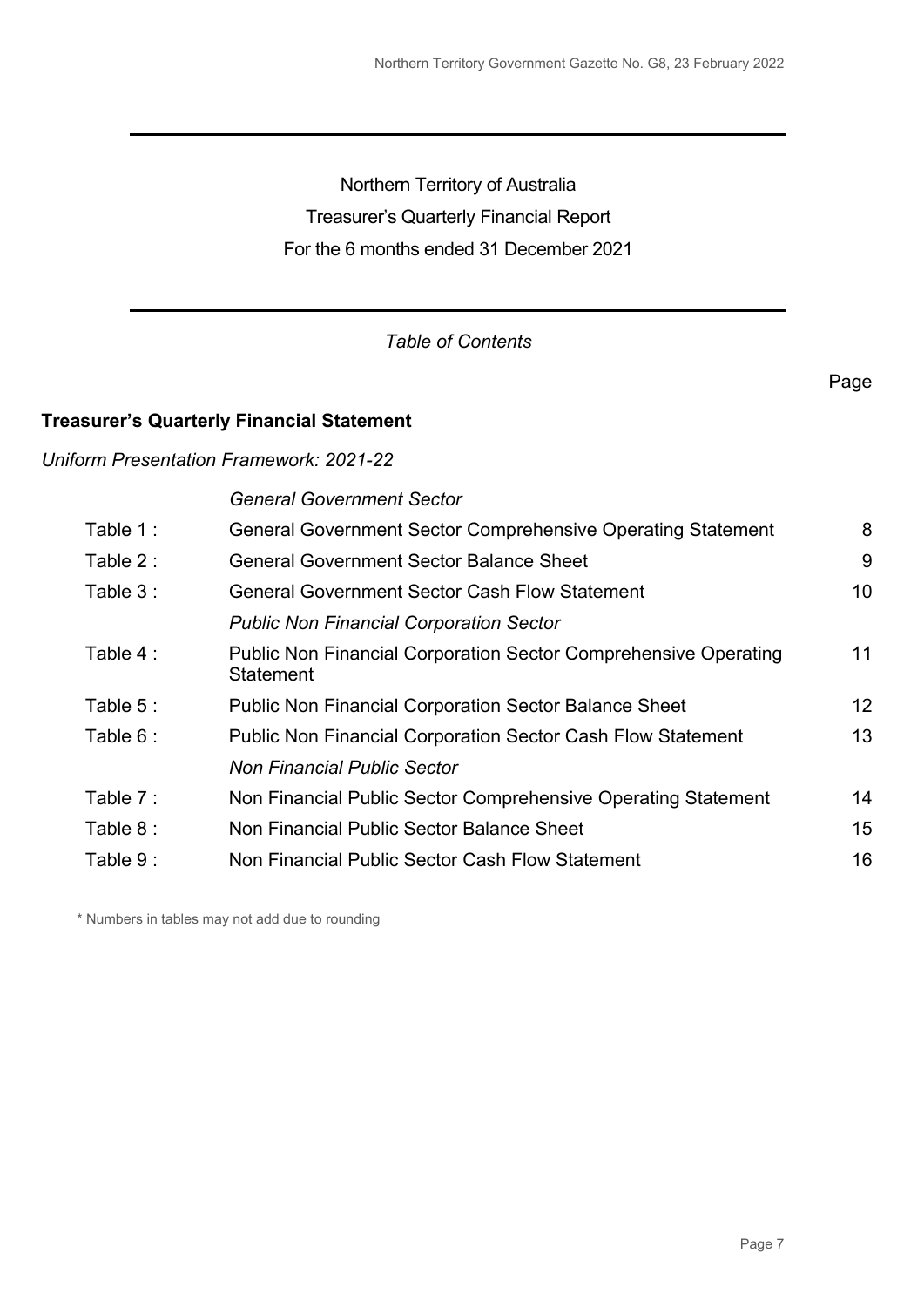Northern Territory of Australia Treasurer's Quarterly Financial Report For the 6 months ended 31 December 2021

### *Table of Contents*

#### **Treasurer's Quarterly Financial Statement**

#### *Uniform Presentation Framework: 2021-22*

*General Government Sector*

| Table 1:  | <b>General Government Sector Comprehensive Operating Statement</b>                         | 8  |
|-----------|--------------------------------------------------------------------------------------------|----|
| Table 2 : | <b>General Government Sector Balance Sheet</b>                                             | 9  |
| Table 3:  | <b>General Government Sector Cash Flow Statement</b>                                       | 10 |
|           | <b>Public Non Financial Corporation Sector</b>                                             |    |
| Table 4 : | <b>Public Non Financial Corporation Sector Comprehensive Operating</b><br><b>Statement</b> | 11 |
| Table 5:  | <b>Public Non Financial Corporation Sector Balance Sheet</b>                               | 12 |
| Table 6 : | <b>Public Non Financial Corporation Sector Cash Flow Statement</b>                         | 13 |
|           | <b>Non Financial Public Sector</b>                                                         |    |
| Table 7:  | Non Financial Public Sector Comprehensive Operating Statement                              | 14 |
| Table 8:  | Non Financial Public Sector Balance Sheet                                                  | 15 |
| Table 9:  | Non Financial Public Sector Cash Flow Statement                                            | 16 |
|           |                                                                                            |    |

\* Numbers in tables may not add due to rounding

Page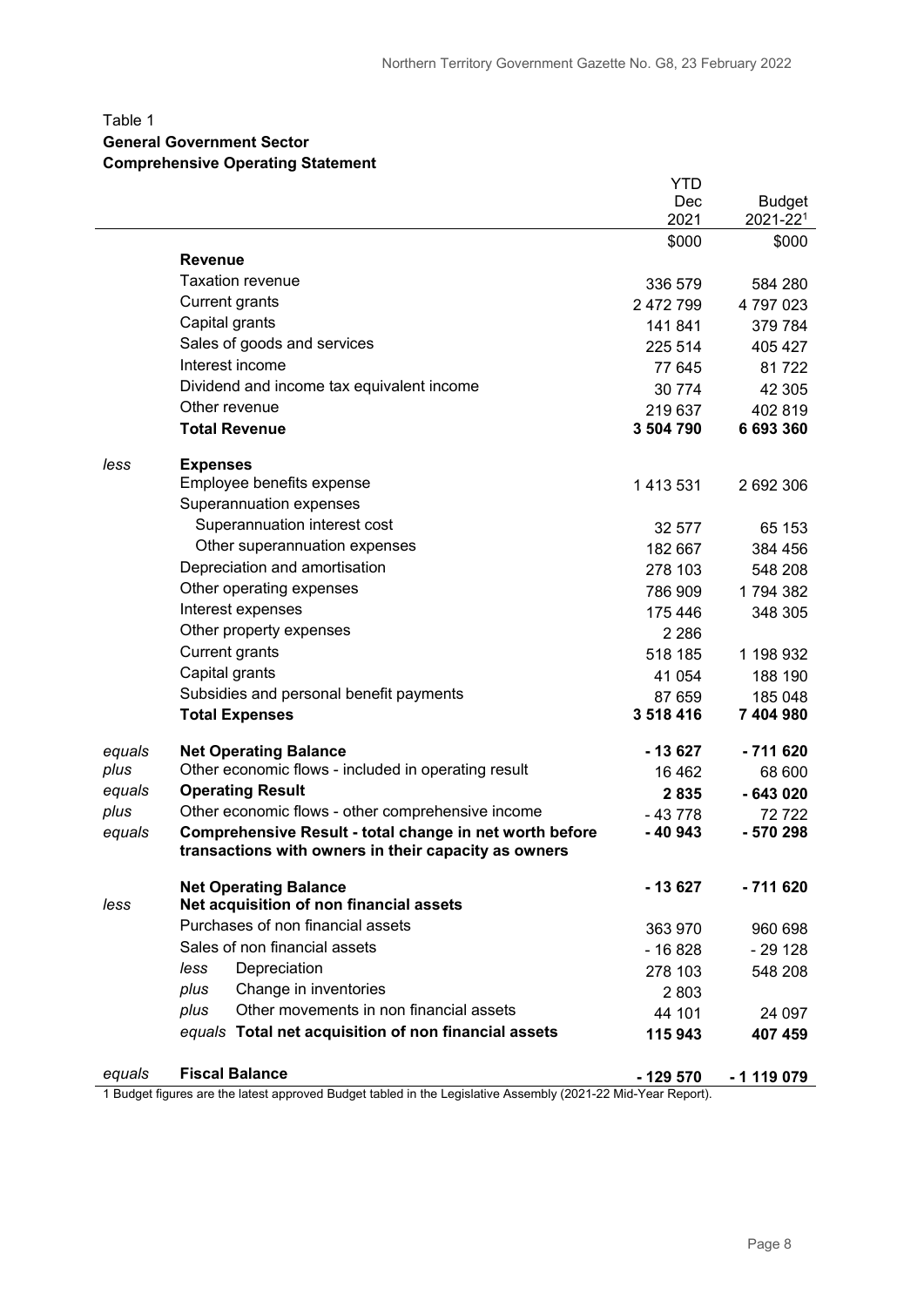#### Table 1

#### **General Government Sector**

#### **Comprehensive Operating Statement**

|        |                                                         | YTD       |               |
|--------|---------------------------------------------------------|-----------|---------------|
|        |                                                         | Dec       | <b>Budget</b> |
|        |                                                         | 2021      | 2021-221      |
|        |                                                         | \$000     | \$000         |
|        | <b>Revenue</b>                                          |           |               |
|        | <b>Taxation revenue</b>                                 | 336 579   | 584 280       |
|        | <b>Current grants</b>                                   | 2 472 799 | 4797023       |
|        | Capital grants                                          | 141 841   | 379 784       |
|        | Sales of goods and services                             | 225 514   | 405 427       |
|        | Interest income                                         | 77 645    | 81722         |
|        | Dividend and income tax equivalent income               | 30 774    | 42 30 5       |
|        | Other revenue                                           | 219 637   | 402 819       |
|        | <b>Total Revenue</b>                                    | 3 504 790 | 6 693 360     |
| less   | <b>Expenses</b>                                         |           |               |
|        | Employee benefits expense                               | 1 413 531 | 2 692 306     |
|        | Superannuation expenses                                 |           |               |
|        | Superannuation interest cost                            | 32 577    | 65 153        |
|        | Other superannuation expenses                           | 182 667   | 384 456       |
|        | Depreciation and amortisation                           | 278 103   | 548 208       |
|        | Other operating expenses                                | 786 909   | 1794382       |
|        | Interest expenses                                       | 175 446   | 348 305       |
|        | Other property expenses                                 | 2 2 8 6   |               |
|        | <b>Current grants</b>                                   | 518 185   | 1 198 932     |
|        | Capital grants                                          | 41 054    | 188 190       |
|        | Subsidies and personal benefit payments                 | 87 659    | 185 048       |
|        | <b>Total Expenses</b>                                   | 3 518 416 | 7 404 980     |
| equals | <b>Net Operating Balance</b>                            | - 13 627  | $-711620$     |
| plus   | Other economic flows - included in operating result     | 16462     | 68 600        |
| equals | <b>Operating Result</b>                                 | 2835      | $-643020$     |
| plus   | Other economic flows - other comprehensive income       | $-43778$  | 72722         |
| equals | Comprehensive Result - total change in net worth before | -40943    | - 570 298     |
|        | transactions with owners in their capacity as owners    |           |               |
|        | <b>Net Operating Balance</b>                            | - 13 627  | $-711620$     |
| less   | Net acquisition of non financial assets                 |           |               |
|        | Purchases of non financial assets                       | 363 970   | 960 698       |
|        | Sales of non financial assets                           | $-16828$  | $-29128$      |
|        | Depreciation<br>less                                    | 278 103   | 548 208       |
|        | Change in inventories<br>plus                           | 2803      |               |
|        | Other movements in non financial assets<br>plus         | 44 101    | 24 097        |
|        | equals Total net acquisition of non financial assets    | 115 943   | 407 459       |
|        |                                                         |           |               |
| equals | <b>Fiscal Balance</b>                                   | $-129570$ | - 1 119 079   |

1 Budget figures are the latest approved Budget tabled in the Legislative Assembly (2021-22 Mid-Year Report).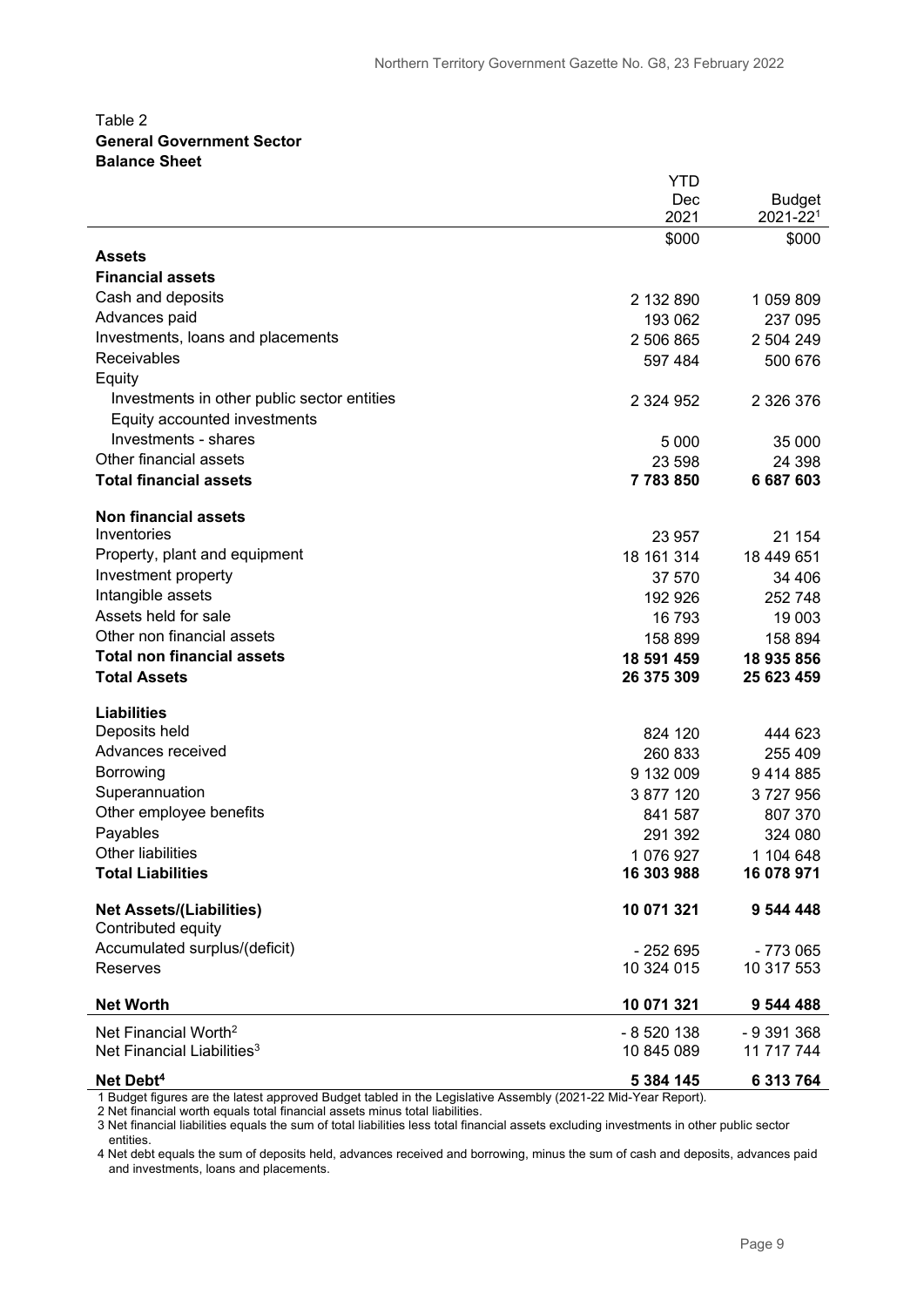#### Table 2 **General Government Sector Balance Sheet**

|                                             | YTD           |               |
|---------------------------------------------|---------------|---------------|
|                                             | Dec           | <b>Budget</b> |
|                                             | 2021          | $2021 - 221$  |
|                                             | \$000         | \$000         |
| <b>Assets</b>                               |               |               |
| <b>Financial assets</b>                     |               |               |
| Cash and deposits                           | 2 132 890     | 1 059 809     |
| Advances paid                               | 193 062       | 237 095       |
| Investments, loans and placements           | 2 506 865     | 2 504 249     |
| Receivables                                 | 597 484       | 500 676       |
| Equity                                      |               |               |
| Investments in other public sector entities | 2 3 2 4 9 5 2 | 2 3 2 6 3 7 6 |
| Equity accounted investments                |               |               |
| Investments - shares                        |               |               |
| Other financial assets                      | 5 0 0 0       | 35 000        |
| <b>Total financial assets</b>               | 23 598        | 24 3 98       |
|                                             | 7783850       | 6687603       |
| <b>Non financial assets</b>                 |               |               |
| Inventories                                 | 23 957        | 21 154        |
| Property, plant and equipment               | 18 161 314    | 18 449 651    |
| Investment property                         | 37 570        |               |
| Intangible assets                           |               | 34 406        |
| Assets held for sale                        | 192 926       | 252748        |
|                                             | 16 793        | 19 003        |
| Other non financial assets                  | 158 899       | 158 894       |
| <b>Total non financial assets</b>           | 18 591 459    | 18 935 856    |
| <b>Total Assets</b>                         | 26 375 309    | 25 623 459    |
| <b>Liabilities</b>                          |               |               |
| Deposits held                               |               |               |
| Advances received                           | 824 120       | 444 623       |
|                                             | 260 833       | 255 409       |
| Borrowing                                   | 9 132 009     | 9414885       |
| Superannuation                              | 3 877 120     | 3727956       |
| Other employee benefits                     | 841 587       | 807 370       |
| Payables                                    | 291 392       | 324 080       |
| <b>Other liabilities</b>                    | 1 076 927     | 1 104 648     |
| <b>Total Liabilities</b>                    | 16 303 988    | 16 078 971    |
|                                             |               |               |
| <b>Net Assets/(Liabilities)</b>             | 10 071 321    | 9 544 448     |
| Contributed equity                          |               |               |
| Accumulated surplus/(deficit)               | $-252695$     | $-773065$     |
| <b>Reserves</b>                             | 10 324 015    | 10 317 553    |
| <b>Net Worth</b>                            | 10 071 321    | 9 544 488     |
| Net Financial Worth <sup>2</sup>            | - 8 520 138   | $-9391368$    |
| Net Financial Liabilities <sup>3</sup>      | 10 845 089    | 11 717 744    |
|                                             |               |               |
| Net Debt <sup>4</sup>                       | 5 384 145     | 6 313 764     |

1 Budget figures are the latest approved Budget tabled in the Legislative Assembly (2021-22 Mid-Year Report).

2 Net financial worth equals total financial assets minus total liabilities.

3 Net financial liabilities equals the sum of total liabilities less total financial assets excluding investments in other public sector entities.

4 Net debt equals the sum of deposits held, advances received and borrowing, minus the sum of cash and deposits, advances paid and investments, loans and placements.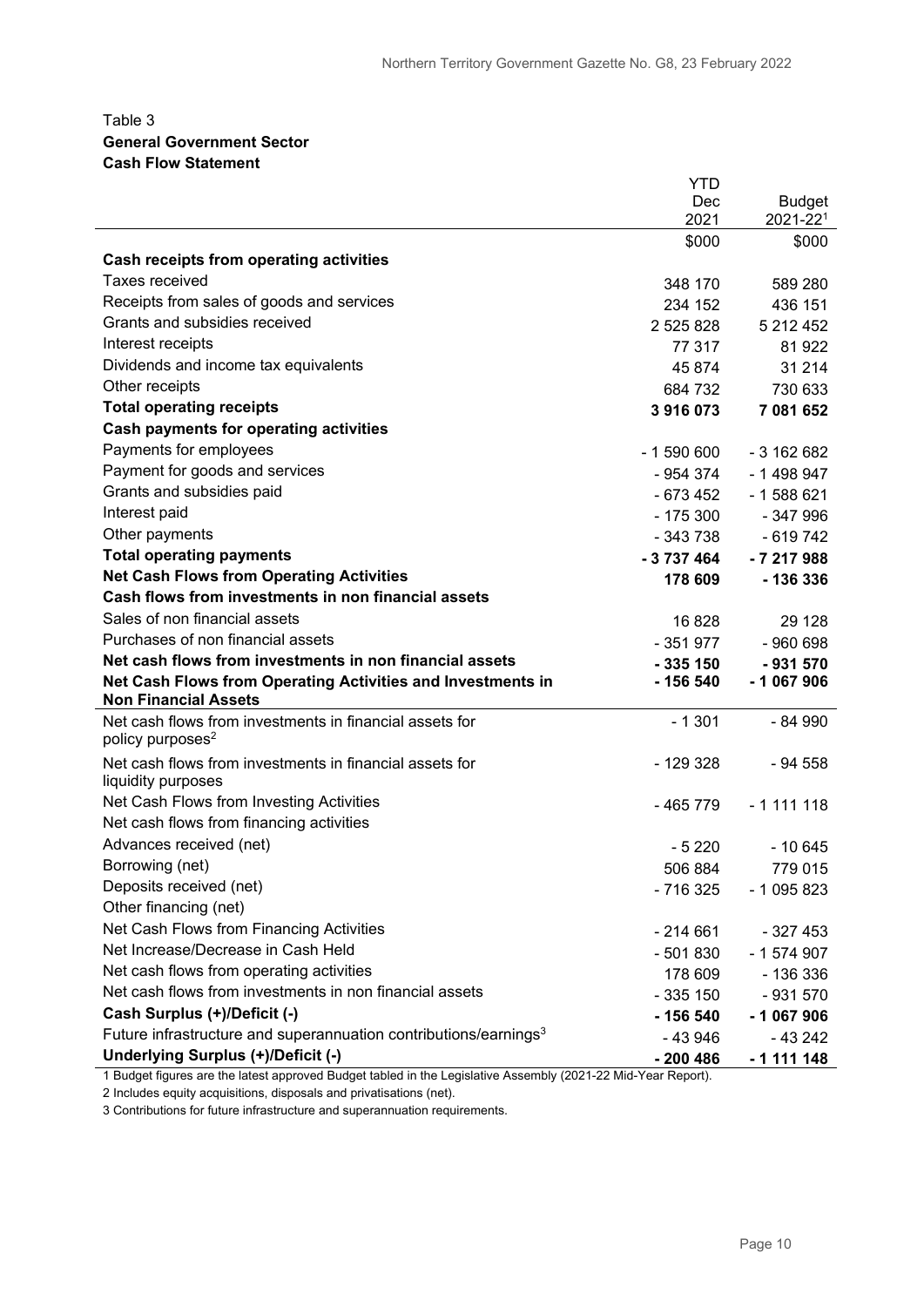#### Table 3 **General Government Sector Cash Flow Statement**

|                                                                                            | <b>YTD</b> |               |
|--------------------------------------------------------------------------------------------|------------|---------------|
|                                                                                            | Dec        | <b>Budget</b> |
|                                                                                            | 2021       | 2021-221      |
|                                                                                            | \$000      | \$000         |
| Cash receipts from operating activities                                                    |            |               |
| <b>Taxes received</b>                                                                      | 348 170    | 589 280       |
| Receipts from sales of goods and services                                                  | 234 152    | 436 151       |
| Grants and subsidies received                                                              | 2 525 828  | 5 212 452     |
| Interest receipts                                                                          | 77 317     | 81922         |
| Dividends and income tax equivalents                                                       | 45 874     | 31 214        |
| Other receipts                                                                             | 684 732    | 730 633       |
| <b>Total operating receipts</b>                                                            | 3916073    | 7 081 652     |
| <b>Cash payments for operating activities</b>                                              |            |               |
| Payments for employees                                                                     | $-1590600$ | $-3162682$    |
| Payment for goods and services                                                             | - 954 374  | $-1498947$    |
| Grants and subsidies paid                                                                  | - 673 452  | $-1588621$    |
| Interest paid                                                                              | $-175300$  | $-347996$     |
| Other payments                                                                             | - 343 738  | $-619742$     |
| <b>Total operating payments</b>                                                            | $-3737464$ | $-7217988$    |
| <b>Net Cash Flows from Operating Activities</b>                                            | 178 609    | $-136336$     |
| Cash flows from investments in non financial assets                                        |            |               |
| Sales of non financial assets                                                              | 16 828     | 29 1 28       |
| Purchases of non financial assets                                                          | $-351977$  | $-960698$     |
| Net cash flows from investments in non financial assets                                    | $-335150$  | $-931570$     |
| Net Cash Flows from Operating Activities and Investments in<br><b>Non Financial Assets</b> | - 156 540  | $-1067906$    |
| Net cash flows from investments in financial assets for                                    | $-1301$    | - 84 990      |
| policy purposes <sup>2</sup>                                                               |            |               |
| Net cash flows from investments in financial assets for                                    | $-129328$  | $-94558$      |
| liquidity purposes                                                                         |            |               |
| Net Cash Flows from Investing Activities                                                   | - 465 779  | $-1111118$    |
| Net cash flows from financing activities                                                   |            |               |
| Advances received (net)                                                                    | $-5220$    | $-10645$      |
| Borrowing (net)                                                                            | 506 884    | 779 015       |
| Deposits received (net)                                                                    | $-716325$  | - 1 095 823   |
| Other financing (net)                                                                      |            |               |
| Net Cash Flows from Financing Activities                                                   | $-214661$  | $-327453$     |
| Net Increase/Decrease in Cash Held                                                         | $-501830$  | - 1 574 907   |
| Net cash flows from operating activities                                                   | 178 609    | - 136 336     |
| Net cash flows from investments in non financial assets                                    | $-335150$  | $-931570$     |
| Cash Surplus (+)/Deficit (-)                                                               | - 156 540  | $-1067906$    |
| Future infrastructure and superannuation contributions/earnings <sup>3</sup>               | -43946     | - 43 242      |
| Underlying Surplus (+)/Deficit (-)                                                         | $-200486$  | - 1 111 148   |

1 Budget figures are the latest approved Budget tabled in the Legislative Assembly (2021-22 Mid-Year Report).

2 Includes equity acquisitions, disposals and privatisations (net).

3 Contributions for future infrastructure and superannuation requirements.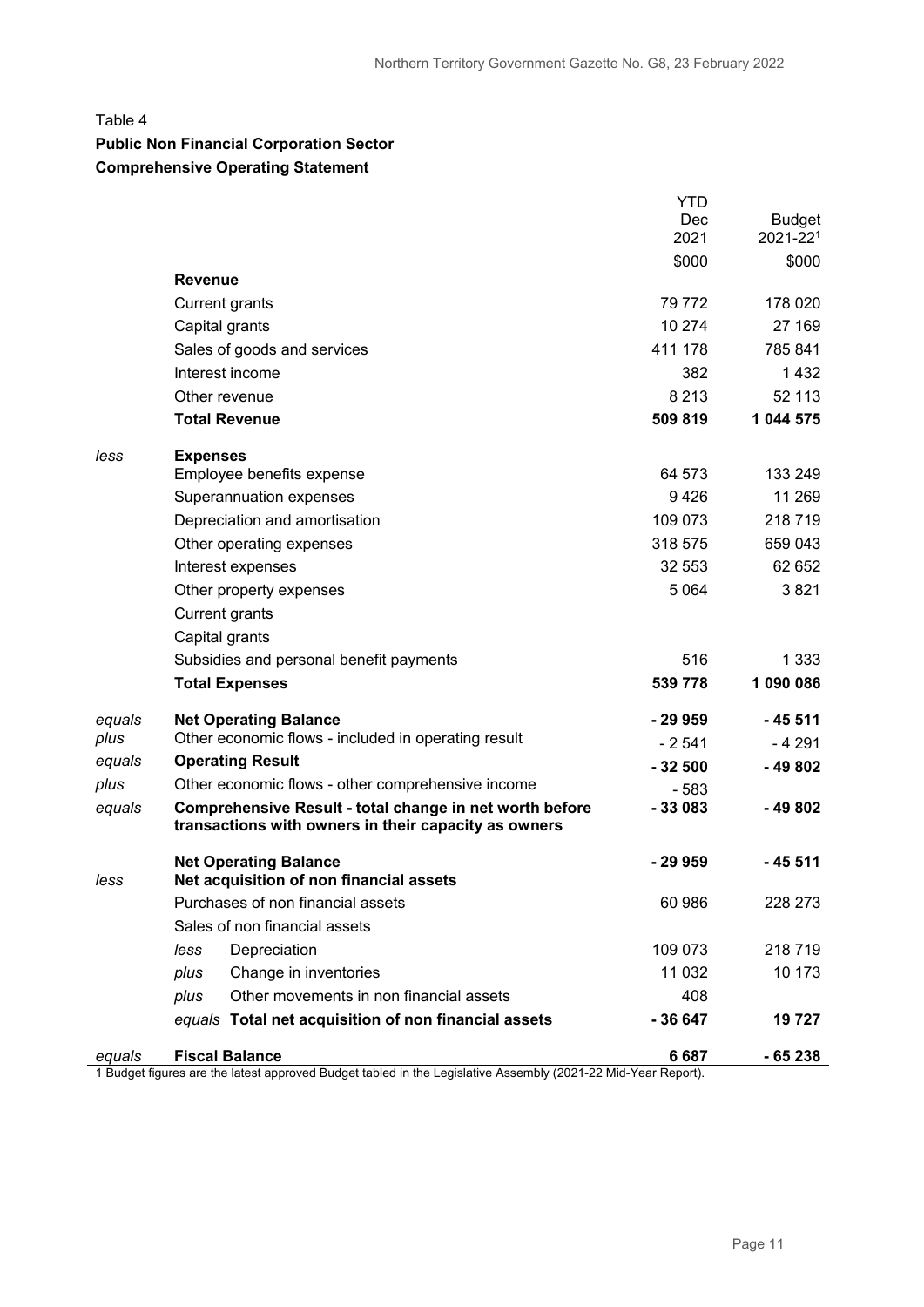#### Table 4

## **Public Non Financial Corporation Sector**

#### **Comprehensive Operating Statement**

|        |                                                                                                                 | YTD         |                           |
|--------|-----------------------------------------------------------------------------------------------------------------|-------------|---------------------------|
|        |                                                                                                                 | Dec<br>2021 | <b>Budget</b><br>2021-221 |
|        |                                                                                                                 | \$000       | \$000                     |
|        | <b>Revenue</b>                                                                                                  |             |                           |
|        | <b>Current grants</b>                                                                                           | 79 772      | 178 020                   |
|        | Capital grants                                                                                                  | 10 274      | 27 169                    |
|        | Sales of goods and services                                                                                     | 411 178     | 785 841                   |
|        | Interest income                                                                                                 | 382         | 1 4 3 2                   |
|        | Other revenue                                                                                                   | 8 2 1 3     | 52 113                    |
|        | <b>Total Revenue</b>                                                                                            | 509 819     | 1 044 575                 |
| less   | <b>Expenses</b>                                                                                                 |             |                           |
|        | Employee benefits expense                                                                                       | 64 573      | 133 249                   |
|        | Superannuation expenses                                                                                         | 9426        | 11 269                    |
|        | Depreciation and amortisation                                                                                   | 109 073     | 218719                    |
|        | Other operating expenses                                                                                        | 318 575     | 659 043                   |
|        | Interest expenses                                                                                               | 32 553      | 62 652                    |
|        | Other property expenses                                                                                         | 5 0 6 4     | 3821                      |
|        | <b>Current grants</b>                                                                                           |             |                           |
|        | Capital grants                                                                                                  |             |                           |
|        | Subsidies and personal benefit payments                                                                         | 516         | 1 3 3 3                   |
|        | <b>Total Expenses</b>                                                                                           | 539 778     | 1 090 086                 |
| equals | <b>Net Operating Balance</b>                                                                                    | - 29 959    | - 45 511                  |
| plus   | Other economic flows - included in operating result                                                             | $-2541$     | - 4 291                   |
| equals | <b>Operating Result</b>                                                                                         | $-32500$    | $-49802$                  |
| plus   | Other economic flows - other comprehensive income                                                               | $-583$      |                           |
| equals | Comprehensive Result - total change in net worth before<br>transactions with owners in their capacity as owners | $-33083$    | -49802                    |
| less   | <b>Net Operating Balance</b><br>Net acquisition of non financial assets                                         | - 29 959    | - 45 511                  |
|        | Purchases of non financial assets                                                                               | 60 986      | 228 273                   |
|        | Sales of non financial assets                                                                                   |             |                           |
|        | Depreciation<br>less                                                                                            | 109 073     | 218719                    |
|        | plus<br>Change in inventories                                                                                   | 11 032      | 10 173                    |
|        | Other movements in non financial assets<br>plus                                                                 | 408         |                           |
|        | equals Total net acquisition of non financial assets                                                            | $-36647$    | 19 727                    |
| equals | <b>Fiscal Balance</b>                                                                                           | 6687        | $-65238$                  |

1 Budget figures are the latest approved Budget tabled in the Legislative Assembly (2021-22 Mid-Year Report).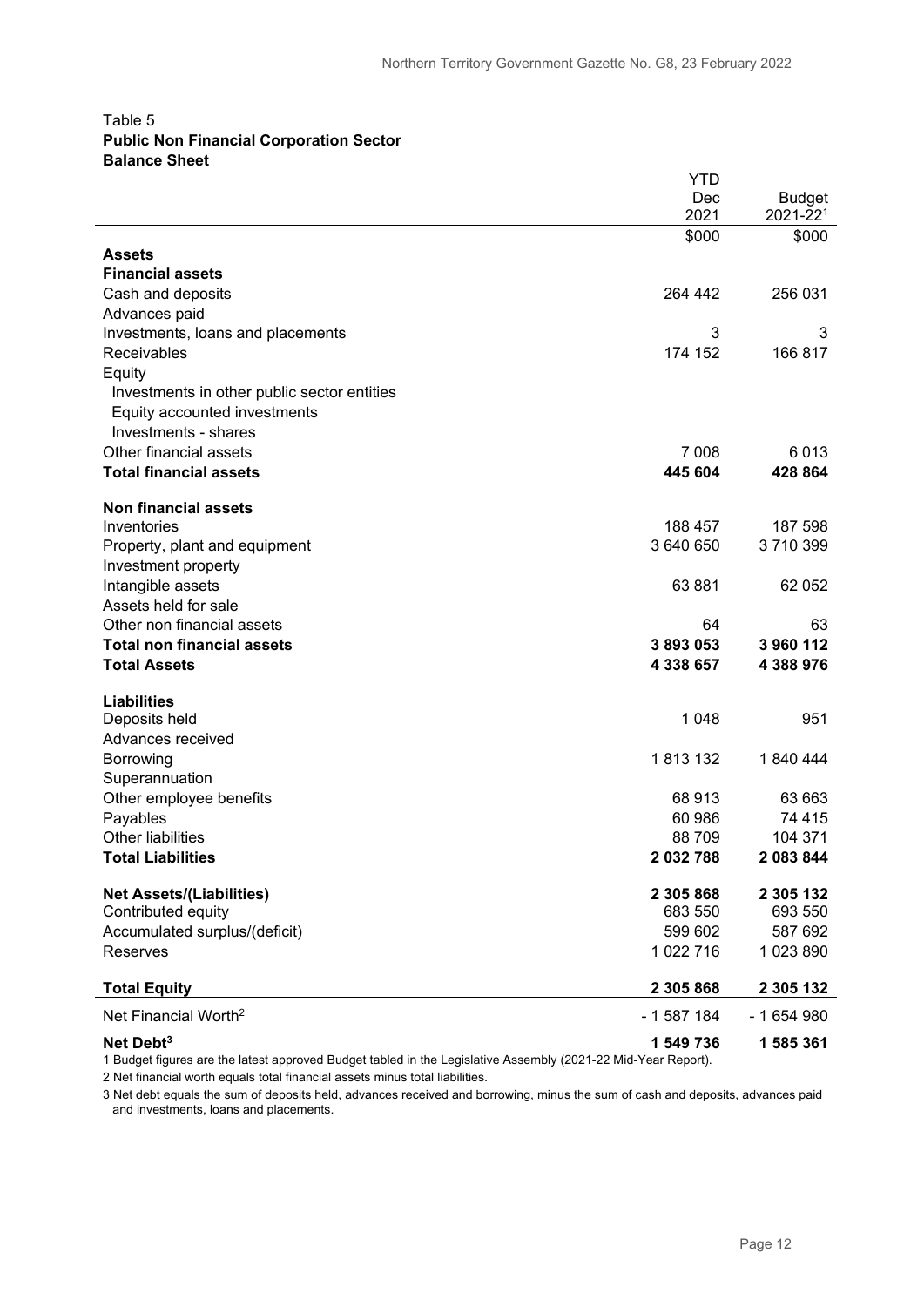#### Table 5 **Public Non Financial Corporation Sector Balance Sheet**

|                                             | YTD         |                           |
|---------------------------------------------|-------------|---------------------------|
|                                             | Dec<br>2021 | <b>Budget</b><br>2021-221 |
|                                             | \$000       | \$000                     |
| Assets                                      |             |                           |
| <b>Financial assets</b>                     |             |                           |
| Cash and deposits                           | 264 442     | 256 031                   |
| Advances paid                               |             |                           |
| Investments, loans and placements           | 3           | 3                         |
| Receivables                                 | 174 152     | 166817                    |
| Equity                                      |             |                           |
| Investments in other public sector entities |             |                           |
| Equity accounted investments                |             |                           |
| Investments - shares                        |             |                           |
| Other financial assets                      | 7 0 0 8     | 6013                      |
| <b>Total financial assets</b>               | 445 604     | 428 864                   |
| <b>Non financial assets</b>                 |             |                           |
| Inventories                                 | 188 457     | 187 598                   |
| Property, plant and equipment               | 3 640 650   | 3710399                   |
| Investment property                         |             |                           |
| Intangible assets                           | 63 881      | 62 052                    |
| Assets held for sale                        |             |                           |
| Other non financial assets                  | 64          | 63                        |
| <b>Total non financial assets</b>           | 3893053     | 3 960 112                 |
| <b>Total Assets</b>                         | 4 338 657   | 4 388 976                 |
| <b>Liabilities</b>                          |             |                           |
| Deposits held                               | 1 0 4 8     | 951                       |
| Advances received                           |             |                           |
| Borrowing                                   | 1813132     | 1840444                   |
| Superannuation                              |             |                           |
| Other employee benefits                     | 68 913      | 63 663                    |
| Payables                                    | 60 986      | 74 415                    |
| Other liabilities                           | 88 709      | 104 371                   |
| <b>Total Liabilities</b>                    | 2 032 788   | 2 083 844                 |
| <b>Net Assets/(Liabilities)</b>             | 2 305 868   | 2 305 132                 |
| Contributed equity                          | 683 550     | 693 550                   |
| Accumulated surplus/(deficit)               | 599 602     | 587 692                   |
| Reserves                                    | 1 022 716   | 1023890                   |
| <b>Total Equity</b>                         | 2 305 868   | 2 305 132                 |
| Net Financial Worth <sup>2</sup>            | - 1 587 184 | - 1 654 980               |
| Net Debt <sup>3</sup>                       |             |                           |
|                                             | 1 549 736   | 1 585 361                 |

1 Budget figures are the latest approved Budget tabled in the Legislative Assembly (2021-22 Mid-Year Report).

2 Net financial worth equals total financial assets minus total liabilities.

3 Net debt equals the sum of deposits held, advances received and borrowing, minus the sum of cash and deposits, advances paid and investments, loans and placements.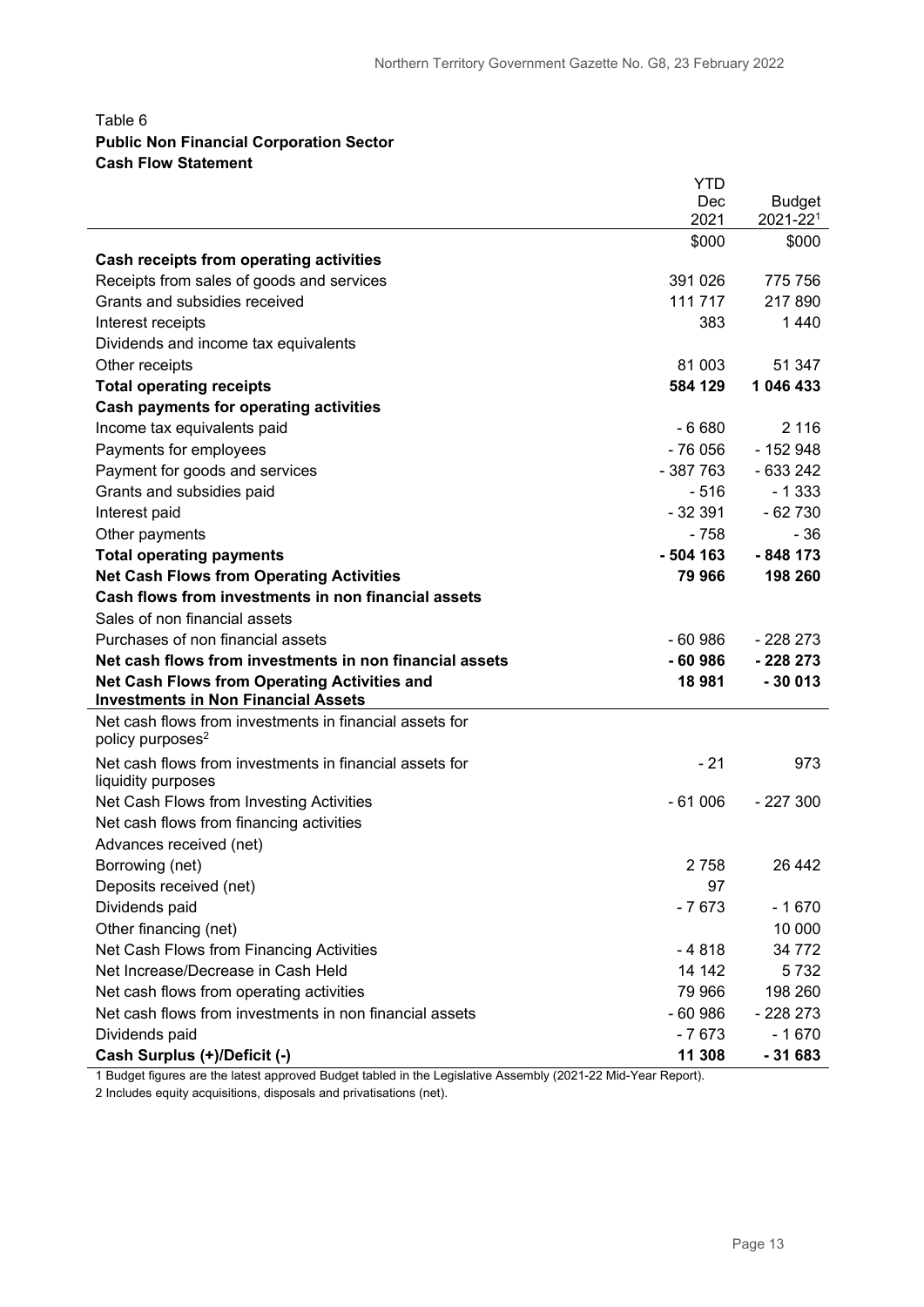#### Table 6 **Public Non Financial Corporation Sector Cash Flow Statement**

|                                                                                                   | <b>YTD</b> |               |
|---------------------------------------------------------------------------------------------------|------------|---------------|
|                                                                                                   | Dec        | <b>Budget</b> |
|                                                                                                   | 2021       | 2021-221      |
|                                                                                                   | \$000      | \$000         |
| Cash receipts from operating activities                                                           |            |               |
| Receipts from sales of goods and services                                                         | 391 026    | 775 756       |
| Grants and subsidies received                                                                     | 111 717    | 217 890       |
| Interest receipts                                                                                 | 383        | 1 4 4 0       |
| Dividends and income tax equivalents                                                              |            |               |
| Other receipts                                                                                    | 81 003     | 51 347        |
| <b>Total operating receipts</b>                                                                   | 584 129    | 1 046 433     |
| <b>Cash payments for operating activities</b>                                                     |            |               |
| Income tax equivalents paid                                                                       | $-6680$    | 2 1 1 6       |
| Payments for employees                                                                            | $-76056$   | $-152948$     |
| Payment for goods and services                                                                    | $-387763$  | $-633242$     |
| Grants and subsidies paid                                                                         | - 516      | $-1333$       |
| Interest paid                                                                                     | $-32391$   | $-62730$      |
| Other payments                                                                                    | - 758      | - 36          |
| <b>Total operating payments</b>                                                                   | $-504$ 163 | $-848173$     |
| <b>Net Cash Flows from Operating Activities</b>                                                   | 79 966     | 198 260       |
| Cash flows from investments in non financial assets                                               |            |               |
| Sales of non financial assets                                                                     |            |               |
| Purchases of non financial assets                                                                 | $-60986$   | - 228 273     |
| Net cash flows from investments in non financial assets                                           | $-60986$   | $-228273$     |
| <b>Net Cash Flows from Operating Activities and</b><br><b>Investments in Non Financial Assets</b> | 18981      | $-30013$      |
| Net cash flows from investments in financial assets for                                           |            |               |
| policy purposes <sup>2</sup>                                                                      |            |               |
| Net cash flows from investments in financial assets for                                           | - 21       | 973           |
| liquidity purposes                                                                                |            |               |
| Net Cash Flows from Investing Activities                                                          | $-61006$   | $-227300$     |
| Net cash flows from financing activities                                                          |            |               |
| Advances received (net)                                                                           |            |               |
| Borrowing (net)                                                                                   | 2758       | 26 442        |
| Deposits received (net)                                                                           | 97         |               |
| Dividends paid                                                                                    | $-7673$    | $-1670$       |
| Other financing (net)                                                                             |            | 10 000        |
| Net Cash Flows from Financing Activities                                                          | $-4818$    | 34 772        |
| Net Increase/Decrease in Cash Held                                                                | 14 142     | 5732          |
| Net cash flows from operating activities                                                          | 79 966     | 198 260       |
| Net cash flows from investments in non financial assets                                           | $-60986$   | $-228273$     |
| Dividends paid                                                                                    | $-7673$    | $-1670$       |
| Cash Surplus (+)/Deficit (-)                                                                      | 11 308     | $-31683$      |

1 Budget figures are the latest approved Budget tabled in the Legislative Assembly (2021-22 Mid-Year Report).

2 Includes equity acquisitions, disposals and privatisations (net).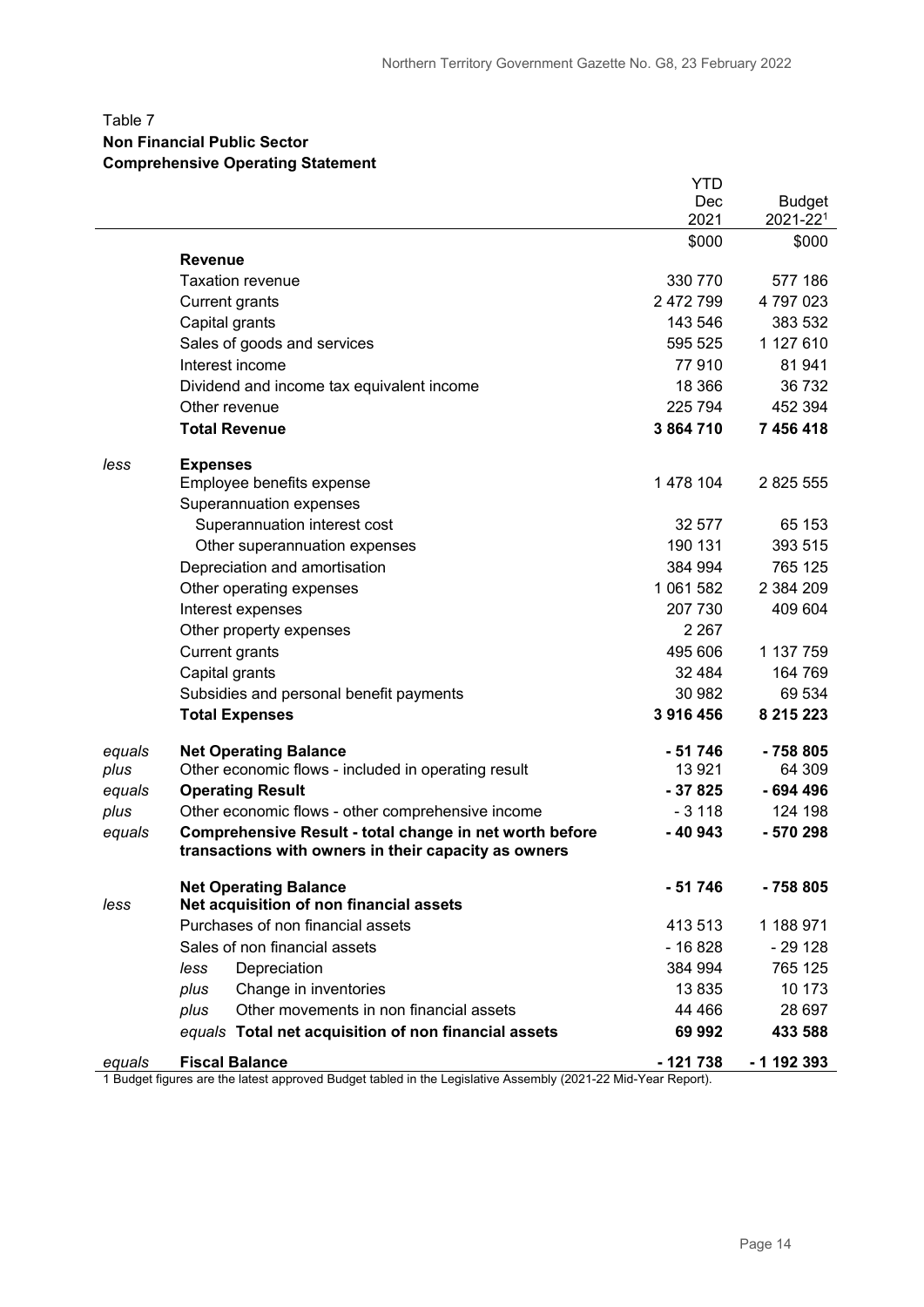#### Table 7

#### **Non Financial Public Sector**

#### **Comprehensive Operating Statement**

|        |                                                                                                               | <b>YTD</b> |               |
|--------|---------------------------------------------------------------------------------------------------------------|------------|---------------|
|        |                                                                                                               | Dec        | <b>Budget</b> |
|        |                                                                                                               | 2021       | 2021-221      |
|        | <b>Revenue</b>                                                                                                | \$000      | \$000         |
|        | <b>Taxation revenue</b>                                                                                       | 330 770    | 577 186       |
|        | <b>Current grants</b>                                                                                         | 2 472 799  | 4797023       |
|        | Capital grants                                                                                                | 143 546    | 383 532       |
|        | Sales of goods and services                                                                                   | 595 525    | 1 127 610     |
|        | Interest income                                                                                               | 77910      | 81 941        |
|        | Dividend and income tax equivalent income                                                                     | 18 3 66    | 36 732        |
|        | Other revenue                                                                                                 | 225 794    | 452 394       |
|        | <b>Total Revenue</b>                                                                                          | 3 864 710  | 7 456 418     |
|        |                                                                                                               |            |               |
| less   | <b>Expenses</b>                                                                                               |            |               |
|        | Employee benefits expense                                                                                     | 1 478 104  | 2 825 555     |
|        | Superannuation expenses                                                                                       |            |               |
|        | Superannuation interest cost                                                                                  | 32 577     | 65 153        |
|        | Other superannuation expenses                                                                                 | 190 131    | 393 515       |
|        | Depreciation and amortisation                                                                                 | 384 994    | 765 125       |
|        | Other operating expenses                                                                                      | 1 061 582  | 2 384 209     |
|        | Interest expenses                                                                                             | 207 730    | 409 604       |
|        | Other property expenses                                                                                       | 2 2 6 7    |               |
|        | <b>Current grants</b>                                                                                         | 495 606    | 1 137 759     |
|        | Capital grants                                                                                                | 32 4 84    | 164 769       |
|        | Subsidies and personal benefit payments                                                                       | 30 982     | 69 534        |
|        | <b>Total Expenses</b>                                                                                         | 3 916 456  | 8 215 223     |
| equals | <b>Net Operating Balance</b>                                                                                  | - 51 746   | - 758 805     |
| plus   | Other economic flows - included in operating result                                                           | 13921      | 64 309        |
| equals | <b>Operating Result</b>                                                                                       | $-37825$   | - 694 496     |
| plus   | Other economic flows - other comprehensive income                                                             | $-3118$    | 124 198       |
| equals | Comprehensive Result - total change in net worth before                                                       | $-40943$   | - 570 298     |
|        | transactions with owners in their capacity as owners                                                          |            |               |
|        | <b>Net Operating Balance</b>                                                                                  | $-51746$   | $-758805$     |
| less   | Net acquisition of non financial assets                                                                       |            |               |
|        | Purchases of non financial assets                                                                             | 413 513    | 1 188 971     |
|        | Sales of non financial assets                                                                                 | - 16 828   | - 29 128      |
|        | Depreciation<br>less                                                                                          | 384 994    | 765 125       |
|        | Change in inventories<br>plus                                                                                 | 13835      | 10 173        |
|        | Other movements in non financial assets<br>plus                                                               | 44 4 66    | 28 697        |
|        | equals Total net acquisition of non financial assets                                                          | 69 992     | 433 588       |
| equals | <b>Fiscal Balance</b>                                                                                         | - 121 738  | - 1 192 393   |
|        | 1 Budget figures are the latest approved Budget tabled in the Legislative Assembly (2021-22 Mid-Year Report). |            |               |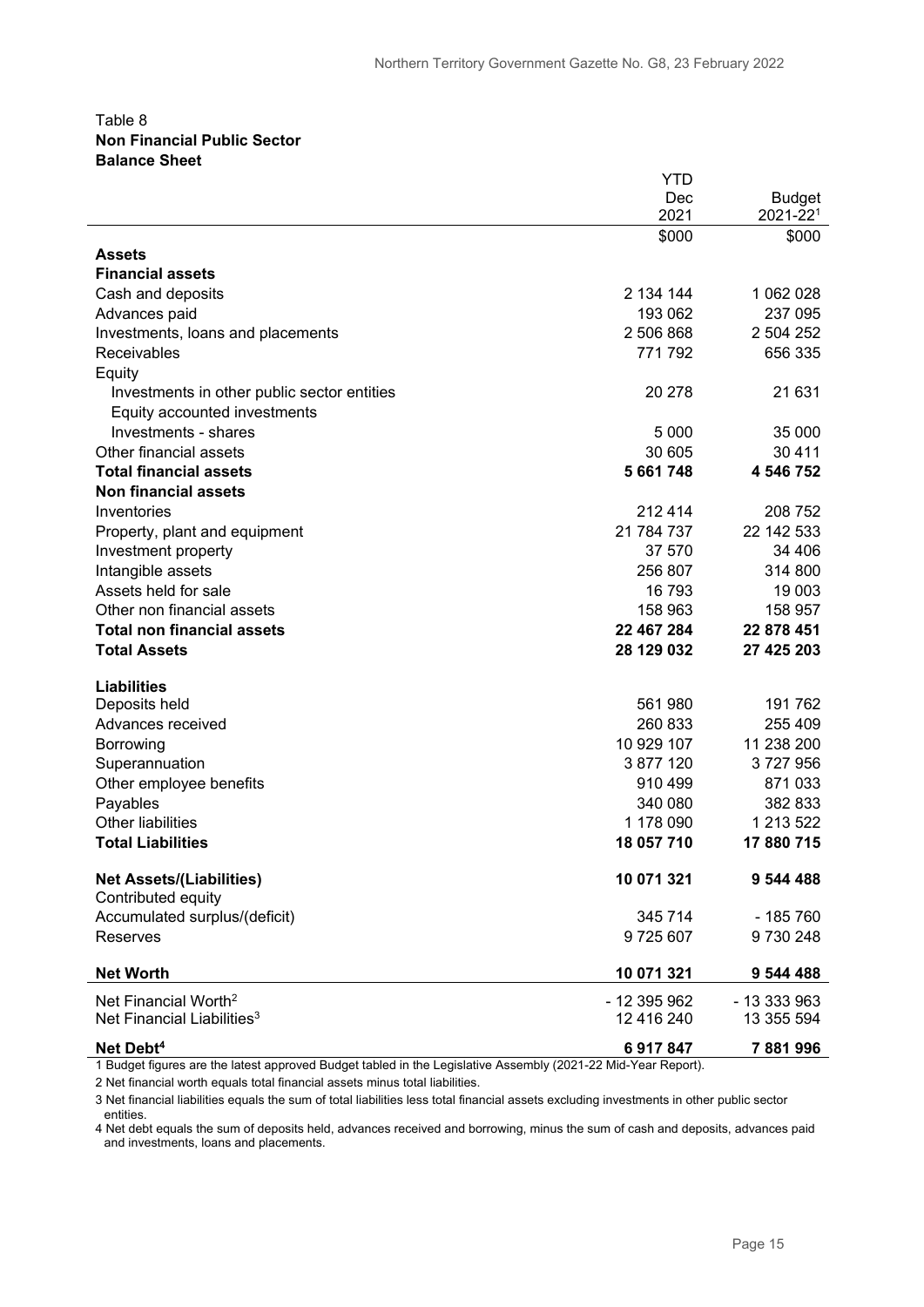#### Table 8 **Non Financial Public Sector Balance Sheet**

|                                             | YTD          |               |
|---------------------------------------------|--------------|---------------|
|                                             | Dec          | <b>Budget</b> |
|                                             | 2021         | 2021-221      |
|                                             | \$000        | \$000         |
| Assets                                      |              |               |
| <b>Financial assets</b>                     |              |               |
| Cash and deposits                           | 2 134 144    | 1 062 028     |
| Advances paid                               | 193 062      | 237 095       |
| Investments, loans and placements           | 2 506 868    | 2 504 252     |
| Receivables                                 | 771 792      | 656 335       |
| Equity                                      |              |               |
| Investments in other public sector entities | 20 278       | 21 631        |
| Equity accounted investments                |              |               |
| Investments - shares                        | 5 0 0 0      | 35 000        |
| Other financial assets                      | 30 605       | 30 4 11       |
| <b>Total financial assets</b>               | 5 661 748    | 4 546 752     |
| <b>Non financial assets</b>                 |              |               |
| Inventories                                 | 212 414      | 208 752       |
| Property, plant and equipment               | 21 784 737   | 22 142 533    |
| Investment property                         | 37 570       | 34 406        |
| Intangible assets                           | 256 807      | 314 800       |
| Assets held for sale                        | 16793        | 19 003        |
| Other non financial assets                  | 158 963      | 158 957       |
| <b>Total non financial assets</b>           | 22 467 284   | 22 878 451    |
| <b>Total Assets</b>                         | 28 129 032   | 27 425 203    |
|                                             |              |               |
| <b>Liabilities</b>                          |              |               |
| Deposits held                               | 561 980      | 191762        |
| Advances received                           | 260 833      | 255 409       |
| Borrowing                                   | 10 929 107   | 11 238 200    |
| Superannuation                              | 3 877 120    | 3727956       |
| Other employee benefits                     | 910 499      | 871033        |
| Payables                                    | 340 080      | 382 833       |
| <b>Other liabilities</b>                    | 1 178 090    | 1 213 522     |
| <b>Total Liabilities</b>                    | 18 057 710   | 17880715      |
| <b>Net Assets/(Liabilities)</b>             | 10 071 321   | 9 544 488     |
| Contributed equity                          |              |               |
| Accumulated surplus/(deficit)               | 345 714      | $-185760$     |
| Reserves                                    | 9725607      | 9730248       |
|                                             |              |               |
| <b>Net Worth</b>                            | 10 071 321   | 9 544 488     |
| Net Financial Worth <sup>2</sup>            | - 12 395 962 | - 13 333 963  |
| Net Financial Liabilities <sup>3</sup>      | 12 416 240   | 13 355 594    |
| Net Debt <sup>4</sup>                       | 6917847      | 7881996       |

1 Budget figures are the latest approved Budget tabled in the Legislative Assembly (2021-22 Mid-Year Report).

2 Net financial worth equals total financial assets minus total liabilities.

3 Net financial liabilities equals the sum of total liabilities less total financial assets excluding investments in other public sector entities.

4 Net debt equals the sum of deposits held, advances received and borrowing, minus the sum of cash and deposits, advances paid and investments, loans and placements.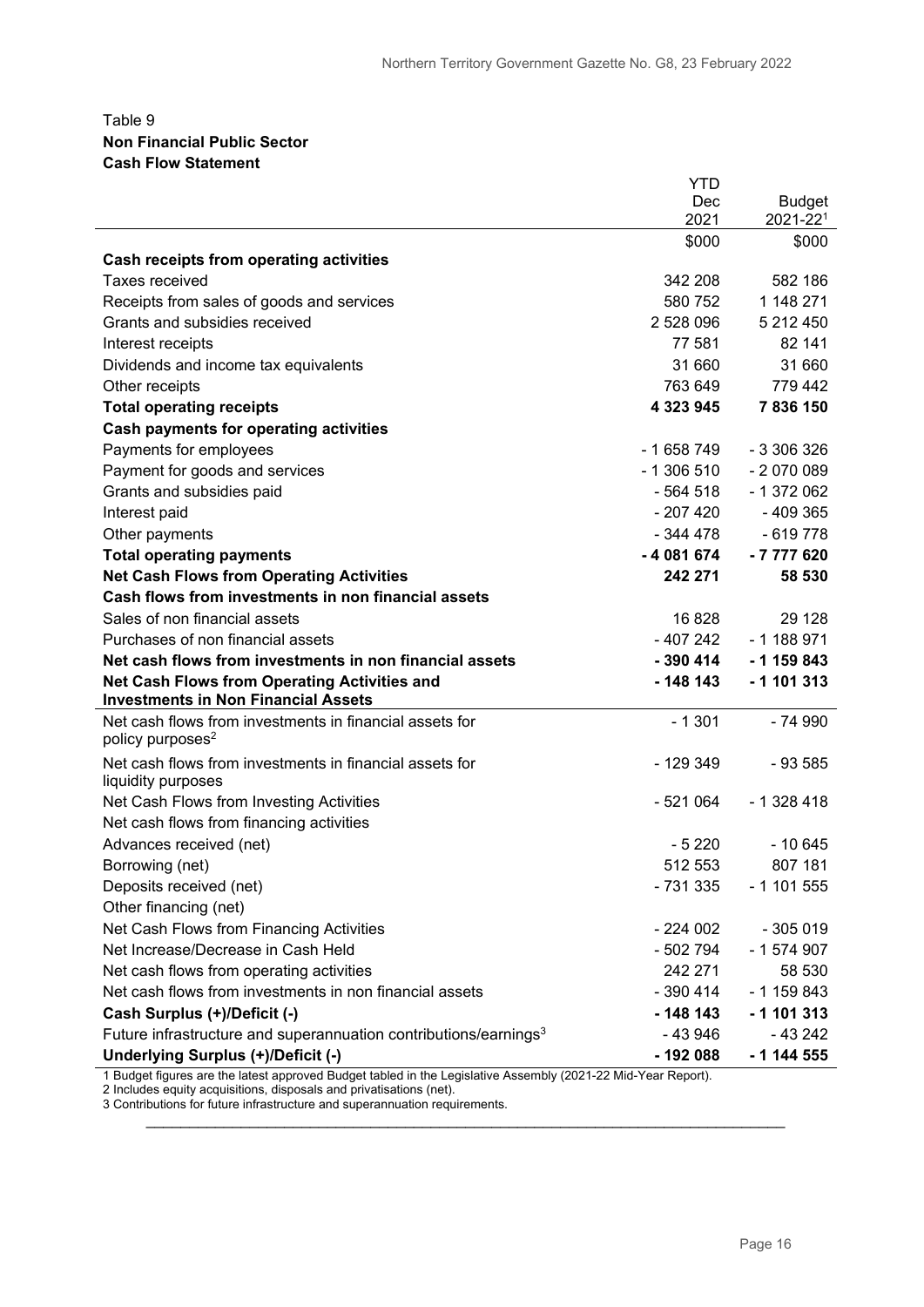#### Table 9 **Non Financial Public Sector Cash Flow Statement**

|                                                                                                               | <b>YTD</b> |               |
|---------------------------------------------------------------------------------------------------------------|------------|---------------|
|                                                                                                               | <b>Dec</b> | <b>Budget</b> |
|                                                                                                               | 2021       | 2021-221      |
|                                                                                                               | \$000      | \$000         |
| Cash receipts from operating activities                                                                       |            |               |
| <b>Taxes received</b>                                                                                         | 342 208    | 582 186       |
| Receipts from sales of goods and services                                                                     | 580 752    | 1 148 271     |
| Grants and subsidies received                                                                                 | 2528096    | 5 212 450     |
| Interest receipts                                                                                             | 77 581     | 82 141        |
| Dividends and income tax equivalents                                                                          | 31 660     | 31 660        |
| Other receipts                                                                                                | 763 649    | 779 442       |
| <b>Total operating receipts</b>                                                                               | 4 323 945  | 7836150       |
| <b>Cash payments for operating activities</b>                                                                 |            |               |
| Payments for employees                                                                                        | $-1658749$ | $-3306326$    |
| Payment for goods and services                                                                                | $-1306510$ | $-2070089$    |
| Grants and subsidies paid                                                                                     | $-564518$  | $-1372062$    |
| Interest paid                                                                                                 | $-207420$  | $-409365$     |
| Other payments                                                                                                | $-344478$  | $-619778$     |
| <b>Total operating payments</b>                                                                               | $-4081674$ | $-7777620$    |
| <b>Net Cash Flows from Operating Activities</b>                                                               | 242 271    | 58 530        |
| Cash flows from investments in non financial assets                                                           |            |               |
| Sales of non financial assets                                                                                 | 16828      | 29 1 28       |
| Purchases of non financial assets                                                                             | $-407242$  | $-1188971$    |
| Net cash flows from investments in non financial assets                                                       | $-390414$  | $-1159843$    |
| <b>Net Cash Flows from Operating Activities and</b>                                                           | - 148 143  | $-1$ 101 313  |
| <b>Investments in Non Financial Assets</b>                                                                    |            |               |
| Net cash flows from investments in financial assets for<br>policy purposes <sup>2</sup>                       | $-1301$    | - 74 990      |
| Net cash flows from investments in financial assets for<br>liquidity purposes                                 | $-129349$  | $-93585$      |
| Net Cash Flows from Investing Activities                                                                      | - 521 064  | $-1328418$    |
| Net cash flows from financing activities                                                                      |            |               |
| Advances received (net)                                                                                       | $-5220$    | $-10645$      |
| Borrowing (net)                                                                                               | 512 553    | 807 181       |
| Deposits received (net)                                                                                       | - 731 335  | $-1101555$    |
| Other financing (net)                                                                                         |            |               |
| Net Cash Flows from Financing Activities                                                                      | $-224002$  | $-305019$     |
| Net Increase/Decrease in Cash Held                                                                            | - 502 794  | $-1574907$    |
| Net cash flows from operating activities                                                                      | 242 271    | 58 530        |
| Net cash flows from investments in non financial assets                                                       | $-390414$  | $-1159843$    |
| Cash Surplus (+)/Deficit (-)                                                                                  | $-148143$  | $-1$ 101 313  |
| Future infrastructure and superannuation contributions/earnings <sup>3</sup>                                  | -43946     | - 43 242      |
| Underlying Surplus (+)/Deficit (-)                                                                            | - 192 088  | - 1 144 555   |
| 4 Dudont figures are the latest compound Dudont to bled in the Legislative Assembly (2004-00 Mid Vear Demart) |            |               |

1 Budget figures are the latest approved Budget tabled in the Legislative Assembly (2021-22 Mid-Year Report).

\_\_\_\_\_\_\_\_\_\_\_\_\_\_\_\_\_\_\_\_\_\_\_\_\_\_\_\_\_\_\_\_\_\_\_\_\_\_\_\_\_\_\_\_\_\_\_\_\_\_\_\_\_\_\_\_\_\_\_\_\_\_\_\_\_\_\_\_\_\_\_\_\_\_

2 Includes equity acquisitions, disposals and privatisations (net).

3 Contributions for future infrastructure and superannuation requirements.